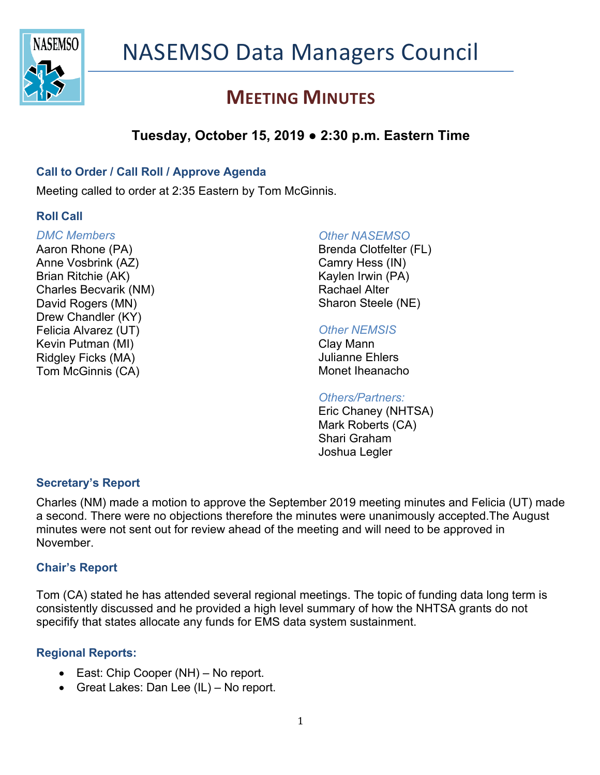

# **MEETING MINUTES**

# **Tuesday, October 15, 2019 ● 2:30 p.m. Eastern Time**

### **Call to Order / Call Roll / Approve Agenda**

Meeting called to order at 2:35 Eastern by Tom McGinnis.

### **Roll Call**

#### *DMC Members*

Aaron Rhone (PA) Anne Vosbrink (AZ) Brian Ritchie (AK) Charles Becvarik (NM) David Rogers (MN) Drew Chandler (KY) Felicia Alvarez (UT) Kevin Putman (MI) Ridgley Ficks (MA) Tom McGinnis (CA)

#### *Other NASEMSO*

Brenda Clotfelter (FL) Camry Hess (IN) Kaylen Irwin (PA) Rachael Alter Sharon Steele (NE)

### *Other NEMSIS*

Clay Mann Julianne Ehlers Monet Iheanacho

#### *Others/Partners:*

Eric Chaney (NHTSA) Mark Roberts (CA) Shari Graham Joshua Legler

### **Secretary's Report**

Charles (NM) made a motion to approve the September 2019 meeting minutes and Felicia (UT) made a second. There were no objections therefore the minutes were unanimously accepted.The August minutes were not sent out for review ahead of the meeting and will need to be approved in November.

### **Chair's Report**

Tom (CA) stated he has attended several regional meetings. The topic of funding data long term is consistently discussed and he provided a high level summary of how the NHTSA grants do not specifify that states allocate any funds for EMS data system sustainment.

### **Regional Reports:**

- East: Chip Cooper (NH) No report.
- Great Lakes: Dan Lee (IL) No report.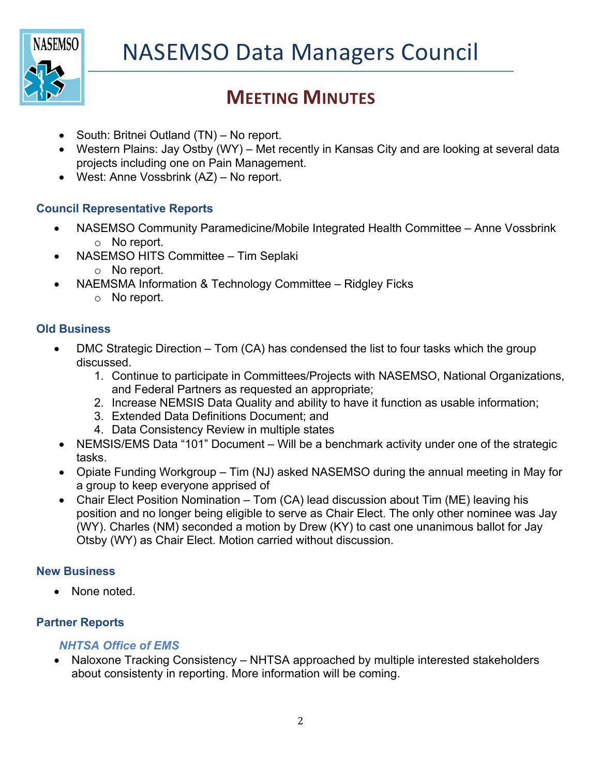

# **MEETING MINUTES**

- South: Britnei Outland (TN) No report.
- Western Plains: Jay Ostby (WY) Met recently in Kansas City and are looking at several data projects including one on Pain Management.
- West: Anne Vossbrink (AZ) No report.

## **Council Representative Reports**

- NASEMSO Community Paramedicine/Mobile Integrated Health Committee Anne Vossbrink o No report.
- NASEMSO HITS Committee Tim Seplaki
	- o No report.
- NAEMSMA Information & Technology Committee Ridgley Ficks
	- o No report.

### **Old Business**

- DMC Strategic Direction Tom (CA) has condensed the list to four tasks which the group discussed.
	- 1. Continue to participate in Committees/Projects with NASEMSO, National Organizations, and Federal Partners as requested an appropriate;
	- 2. Increase NEMSIS Data Quality and ability to have it function as usable information;
	- 3. Extended Data Definitions Document; and
	- 4. Data Consistency Review in multiple states
- NEMSIS/EMS Data "101" Document Will be a benchmark activity under one of the strategic tasks.
- Opiate Funding Workgroup Tim (NJ) asked NASEMSO during the annual meeting in May for a group to keep everyone apprised of
- Chair Elect Position Nomination Tom (CA) lead discussion about Tim (ME) leaving his position and no longer being eligible to serve as Chair Elect. The only other nominee was Jay (WY). Charles (NM) seconded a motion by Drew (KY) to cast one unanimous ballot for Jay Otsby (WY) as Chair Elect. Motion carried without discussion.

### **New Business**

• None noted.

## **Partner Reports**

## *NHTSA Office of EMS*

• Naloxone Tracking Consistency – NHTSA approached by multiple interested stakeholders about consistenty in reporting. More information will be coming.